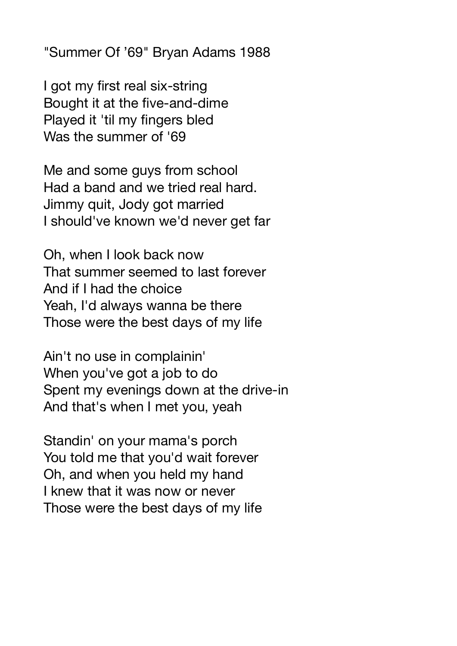"Summer Of '69" Bryan Adams 1988

I got my first real six-string Bought it at the five-and-dime Played it 'til my fingers bled Was the summer of '69

Me and some guys from school Had a band and we tried real hard. Jimmy quit, Jody got married I should've known we'd never get far

Oh, when I look back now That summer seemed to last forever And if I had the choice Yeah, I'd always wanna be there Those were the best days of my life

Ain't no use in complainin' When you've got a job to do Spent my evenings down at the drive-in And that's when I met you, yeah

Standin' on your mama's porch You told me that you'd wait forever Oh, and when you held my hand I knew that it was now or never Those were the best days of my life